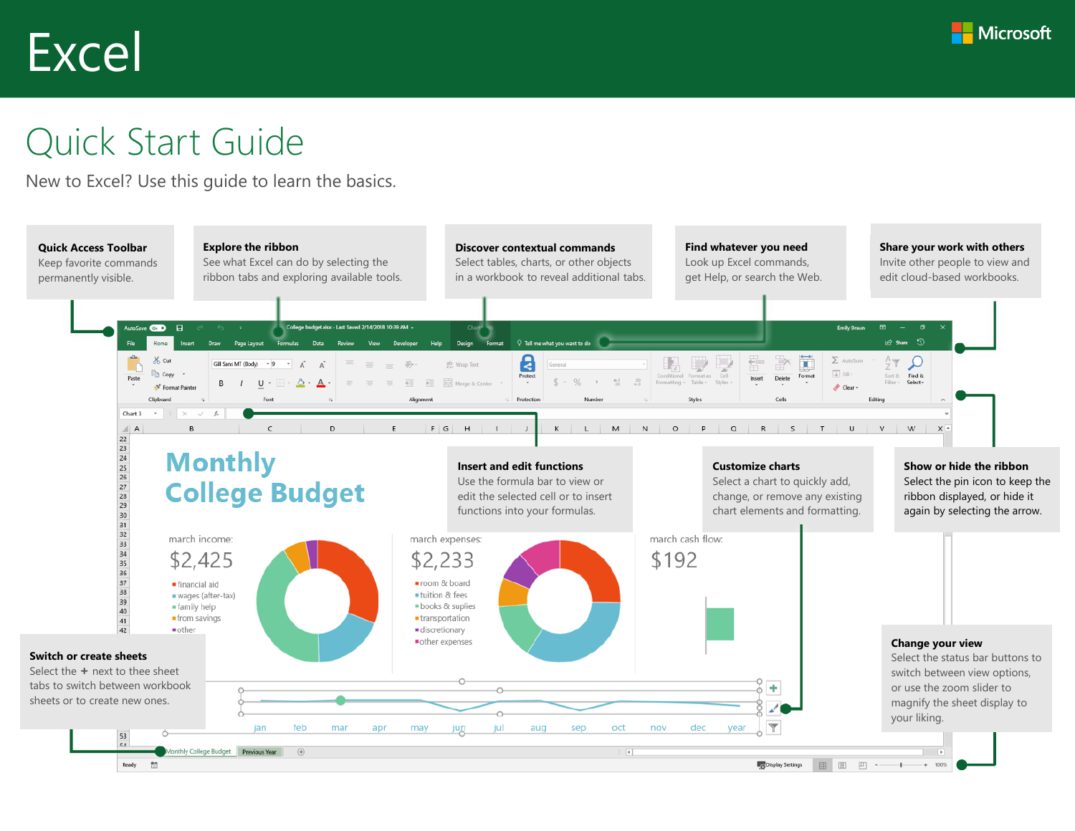# Excel



# Quick Start Guide

New to Excel? Use this guide to learn the basics.

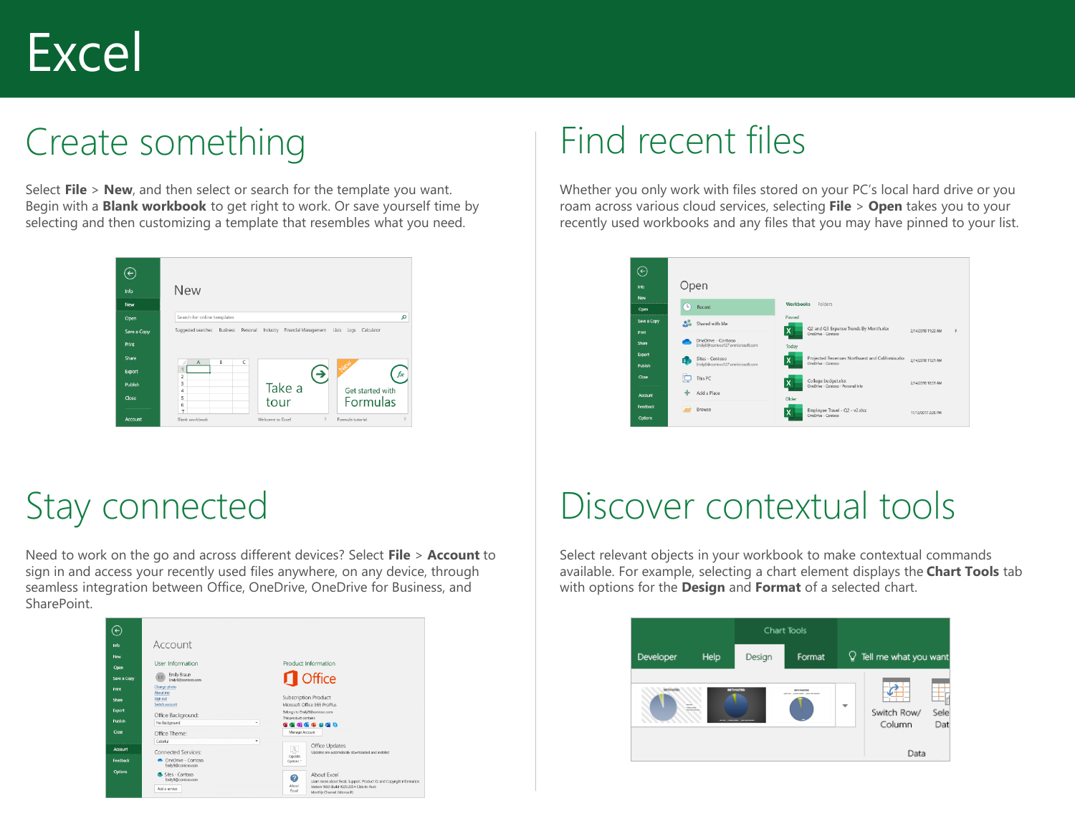# Excel

# Create something

Select **File** > **New**, and then select or search for the template you want. Begin with a **Blank workbook** to get right to work. Or save yourself time by selecting and then customizing a template that resembles what you need.



#### Find recent files

Whether you only work with files stored on your PC's local hard drive or you roam across various cloud services, selecting **File** > **Open** takes you to your recently used workbooks and any files that you may have pinned to your list.



### Stay connected

Need to work on the go and across different devices? Select **File** > **Account** to sign in and access your recently used files anywhere, on any device, through seamless integration between Office, OneDrive, OneDrive for Business, and SharePoint.



# Discover contextual tools

Select relevant objects in your workbook to make contextual commands available. For example, selecting a chart element displays the **Chart Tools** tab with options for the **Design** and **Format** of a selected chart.

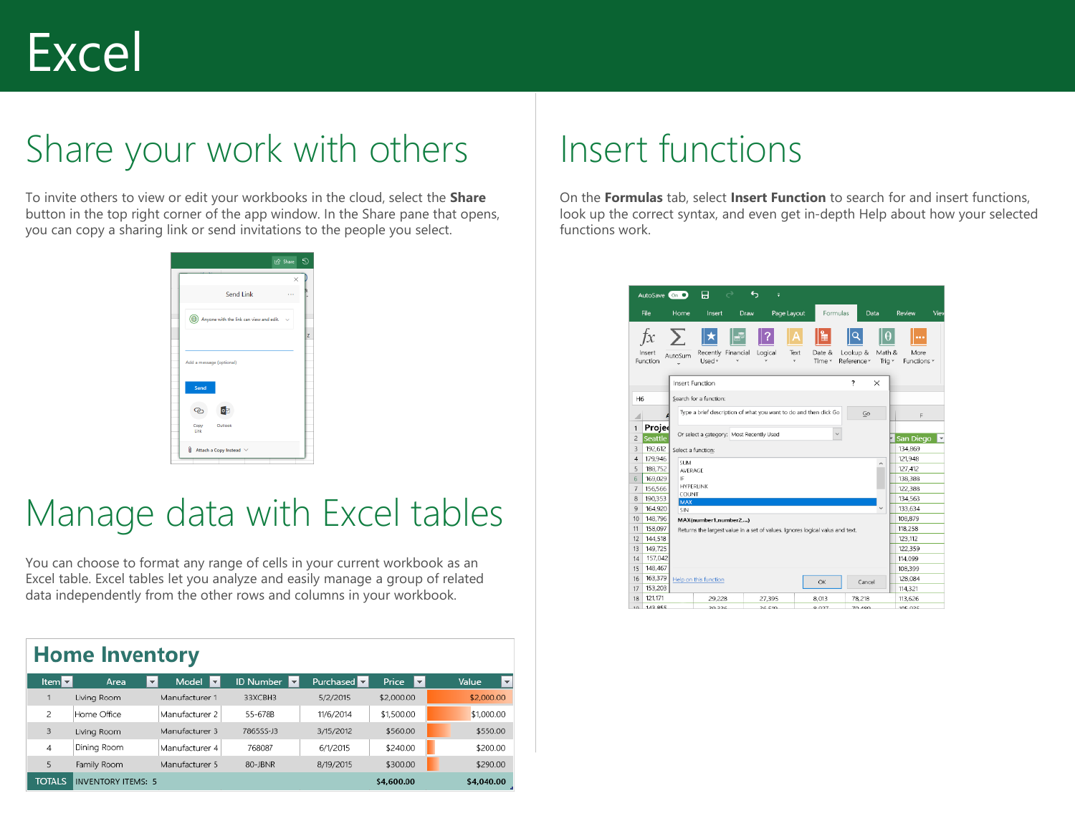# Share your work with others

To invite others to view or edit your workbooks in the cloud, select the **Share** button in the top right corner of the app window. In the Share pane that opens, you can copy a sharing link or send invitations to the people you select.

|                                              |           | le Share<br>$\times$ |
|----------------------------------------------|-----------|----------------------|
|                                              | Send Link |                      |
| ((b) Anyone with the link can view and edit. |           |                      |
|                                              |           |                      |
| Add a message (optional)                     |           |                      |
| Send                                         |           |                      |
| [o⊠<br>ా                                     |           |                      |
| Copy<br>Outlook<br>Link                      |           |                      |
| $\parallel$ Attach a Copy Instead $\vee$     |           |                      |

### Manage data with Excel tables

You can choose to format any range of cells in your current workbook as an Excel table. Excel tables let you analyze and easily manage a group of related data independently from the other rows and columns in your workbook.

| <b>Home Inventory</b> |                  |                           |                                   |                                             |                    |              |            |  |  |  |
|-----------------------|------------------|---------------------------|-----------------------------------|---------------------------------------------|--------------------|--------------|------------|--|--|--|
|                       | Item $\boxed{2}$ | Area                      | Model<br>$\overline{\phantom{a}}$ | <b>ID Number</b><br>$\overline{\mathbf{v}}$ | Purchased <b>v</b> | Price<br>l v | Value      |  |  |  |
|                       |                  | Living Room               | Manufacturer 1                    | 33XCBH3                                     | 5/2/2015           | \$2,000.00   | \$2,000.00 |  |  |  |
|                       | 2                | Home Office               | Manufacturer 2                    | 55-678B                                     | 11/6/2014          | \$1,500.00   | \$1,000.00 |  |  |  |
|                       | 3                | Living Room               | Manufacturer 3                    | 7865SS-J3                                   | 3/15/2012          | \$560.00     | \$550.00   |  |  |  |
|                       | 4                | Dining Room               | Manufacturer 4                    | 768087                                      | 6/1/2015           | \$240.00     | \$200.00   |  |  |  |
|                       | 5                | Family Room               | Manufacturer 5                    | 80-JBNR                                     | 8/19/2015          | \$300.00     | \$290.00   |  |  |  |
|                       | <b>TOTALS</b>    | <b>INVENTORY ITEMS: 5</b> |                                   |                                             |                    | \$4,600.00   | \$4,040.00 |  |  |  |

### Insert functions

On the **Formulas** tab, select **Insert Function** to search for and insert functions, look up the correct syntax, and even get in-depth Help about how your selected functions work.

|                | AutoSave On O             |                   | 日                                                                             | ь         | ÷           |                                                                   |                         |                         |                         |              |
|----------------|---------------------------|-------------------|-------------------------------------------------------------------------------|-----------|-------------|-------------------------------------------------------------------|-------------------------|-------------------------|-------------------------|--------------|
|                | File                      | Home              | Insert                                                                        | Draw      | Page Layout |                                                                   | Formulas                | Data                    | Review                  | Viev         |
|                | f x<br>Insert<br>Function | $\sum$<br>AutoSum | ∥★<br>Recently<br>Used $7$                                                    | Financial | Logical     | ⊫<br>Text<br>Date &<br>Time -<br>÷                                | Lookup &<br>Reference - | θ<br>Math &<br>Triq $+$ | <br>More<br>Functions - |              |
|                |                           |                   | Insert Function                                                               |           |             |                                                                   | ?                       | X                       |                         |              |
| H6             |                           |                   | Search for a function:                                                        |           |             |                                                                   |                         |                         |                         |              |
| ⊿              |                           |                   |                                                                               |           |             | Type a brief description of what you want to do and then click Go |                         | Go                      | F                       |              |
| $\overline{1}$ | Projed                    |                   | Or select a category: Most Recently Used                                      |           |             |                                                                   |                         |                         |                         |              |
| $\overline{c}$ | <b>Seattle</b>            |                   |                                                                               |           |             |                                                                   |                         |                         | San Diego               | $\mathbf{v}$ |
| 3              | 192,612                   |                   | Select a function:                                                            |           |             |                                                                   |                         |                         | 134,869                 |              |
| $\overline{4}$ | 179,946                   | <b>SUM</b>        |                                                                               |           |             |                                                                   |                         | $\lambda$               | 121,948                 |              |
| 5              | 188,752                   | AVERAGE           |                                                                               |           |             |                                                                   |                         |                         | 127,412                 |              |
| 6              | 169,029                   | IF                |                                                                               |           |             |                                                                   |                         |                         | 138,388                 |              |
| $\overline{7}$ | 156,566                   | COUNT             | HYPERLINK                                                                     |           |             |                                                                   |                         |                         | 122,388                 |              |
| 8              | 190,353                   | <b>MAX</b>        |                                                                               |           |             |                                                                   |                         |                         | 134,563                 |              |
| 9              | 164,920                   | SIN               |                                                                               |           |             |                                                                   |                         | $\checkmark$            | 133,634                 |              |
| 10             | 148,796                   |                   | MAX(number1,number2,)                                                         |           |             |                                                                   |                         |                         | 108,879                 |              |
| 11             | 158,097                   |                   | Returns the largest value in a set of values. Ignores logical valus and text. |           |             |                                                                   |                         |                         | 118,258                 |              |
| 12             | 144,518                   |                   |                                                                               |           |             |                                                                   |                         |                         | 123,112                 |              |
| 13             | 149,725                   |                   |                                                                               |           |             |                                                                   |                         |                         | 122,359                 |              |
| 14             | 157,042                   |                   |                                                                               |           |             |                                                                   |                         |                         | 114,099                 |              |
| 15             | 148,467                   |                   |                                                                               |           |             |                                                                   |                         |                         | 108,399                 |              |
| 16             | 163,379                   |                   | Help on this function                                                         |           |             | OK                                                                |                         | Cancel                  | 128,084                 |              |
| 17             | 153,203                   |                   |                                                                               |           |             |                                                                   |                         |                         | 114,321                 |              |
| 18             | 121,171                   |                   | 29,228                                                                        |           | 27,395      | 8.013                                                             | 78,218                  |                         | 113,626                 |              |
| $10-$          | $1/2$ $955$               |                   | 30.336                                                                        |           | 26.510      | മ രാത                                                             | 70.490                  |                         | 10E Q2E                 |              |